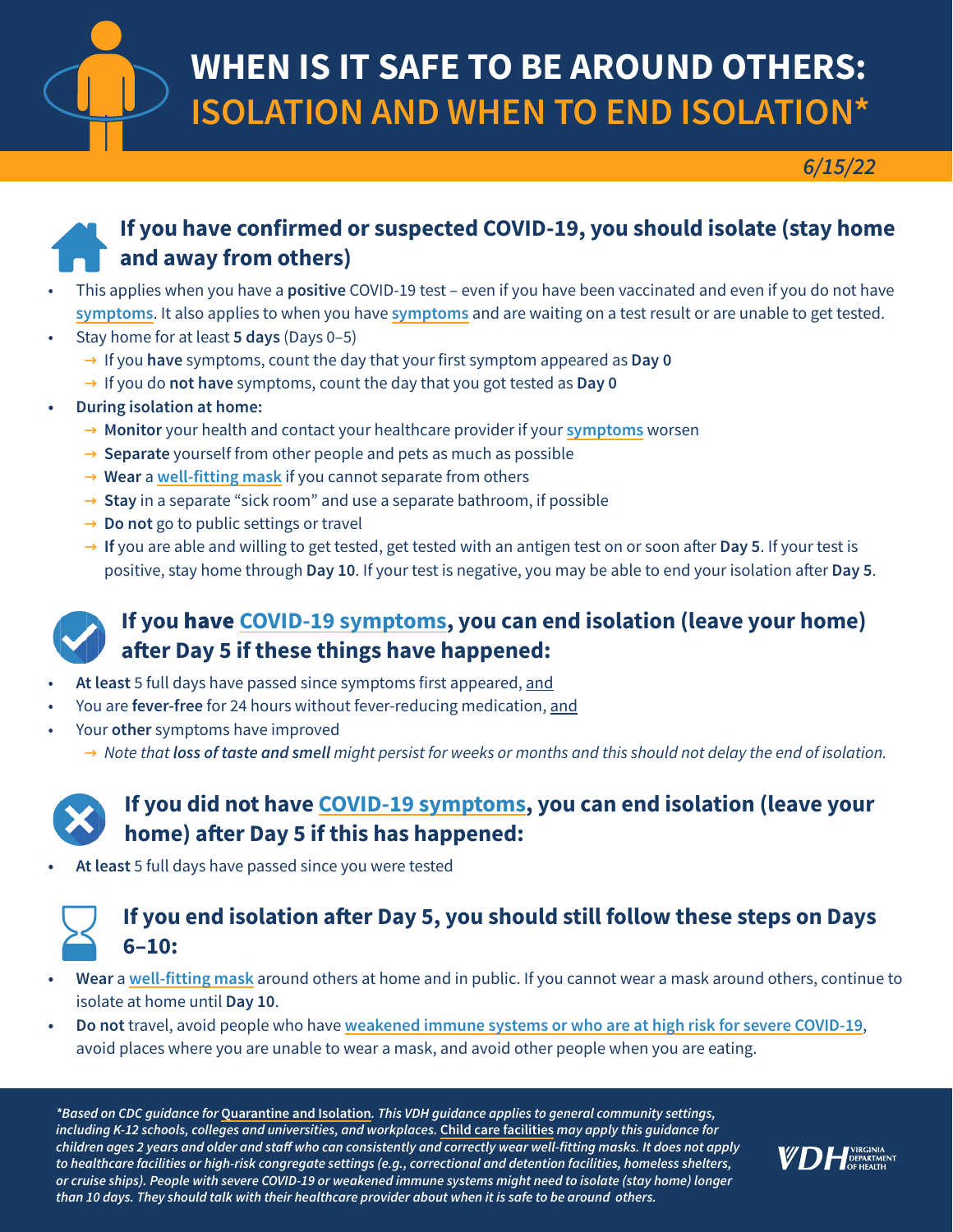**WHEN IS IT SAFE TO BE AROUND OTHERS: ISOLATION AND WHEN TO END ISOLATION\***

*6/15/22*

## **If you have confirmed or suspected COVID-19, you should isolate (stay home and away from others)**

- This applies when you have a **positive** COVID-19 test even if you have been vaccinated and even if you do not have **[symptoms](https://www.cdc.gov/coronavirus/2019-ncov/symptoms-testing/symptoms.html)**. It also applies to when you have **[symptoms](https://www.cdc.gov/coronavirus/2019-ncov/symptoms-testing/symptoms.html)** and are waiting on a test result or are unable to get tested.
- Stay home for at least **5 days** (Days 0–5)
	- → If you **have** symptoms, count the day that your first symptom appeared as **Day 0**
	- → If you do **not have** symptoms, count the day that you got tested as **Day 0**
- **• During isolation at home:** 
	- → **Monitor** your health and contact your healthcare provider if your **[symptoms](https://www.cdc.gov/coronavirus/2019-ncov/symptoms-testing/symptoms.html)** worsen
	- → **Separate** yourself from other people and pets as much as possible
	- → **Wear** a **[well-fitting mask](https://www.cdc.gov/coronavirus/2019-ncov/your-health/effective-masks.html)** if you cannot separate from others
	- → **Stay** in a separate "sick room" and use a separate bathroom, if possible
	- → **Do not** go to public settings or travel
	- → **If** you are able and willing to get tested, get tested with an antigen test on or soon after **Day 5**. If your test is positive, stay home through **Day 10**. If your test is negative, you may be able to end your isolation after **Day 5**.

#### **If you** have **[COVID-19 symptoms](https://www.cdc.gov/coronavirus/2019-ncov/symptoms-testing/symptoms.html), you can end isolation (leave your home) after Day 5 if these things have happened:**

- **At least** 5 full days have passed since symptoms first appeared, and
- You are **fever-free** for 24 hours without fever-reducing medication, and
- Your **other** symptoms have improved
	- → *Note that loss of taste and smell might persist for weeks or months and this should not delay the end of isolation.*



### **If you did not have [COVID-19 symptoms,](https://www.cdc.gov/coronavirus/2019-ncov/symptoms-testing/symptoms.html) you can end isolation (leave your home) after Day 5 if this has happened:**

**• At least** 5 full days have passed since you were tested



## **If you end isolation after Day 5, you should still follow these steps on Days 6–10:**

- **• Wear** a **[well-fitting mask](https://www.cdc.gov/coronavirus/2019-ncov/your-health/effective-masks.html)** around others at home and in public. If you cannot wear a mask around others, continue to isolate at home until **Day 10**.
- **• Do not** travel, avoid people who have **[weakened immune systems or who are at high risk for severe COVID-19](https://www.cdc.gov/coronavirus/2019-ncov/need-extra-precautions/people-with-medical-conditions.html)**, avoid places where you are unable to wear a mask, and avoid other people when you are eating.

*\*Based on CDC guidance for* **[Quarantine and Isolation](https://www.cdc.gov/coronavirus/2019-ncov/your-health/quarantine-isolation.html)***. This VDH guidance applies to general community settings, including K-12 schools, colleges and universities, and workplaces.* **[Child care facilities](https://www.vdh.virginia.gov/coronavirus/schools-workplaces-community-locations/child-care/)** *may apply this guidance for children ages 2 years and older and staff who can consistently and correctly wear well-fitting masks. It does not apply to healthcare facilities or high-risk congregate settings (e.g., correctional and detention facilities, homeless shelters, or cruise ships). People with severe COVID-19 or weakened immune systems might need to isolate (stay home) longer than 10 days. They should talk with their healthcare provider about when it is safe to be around others.*

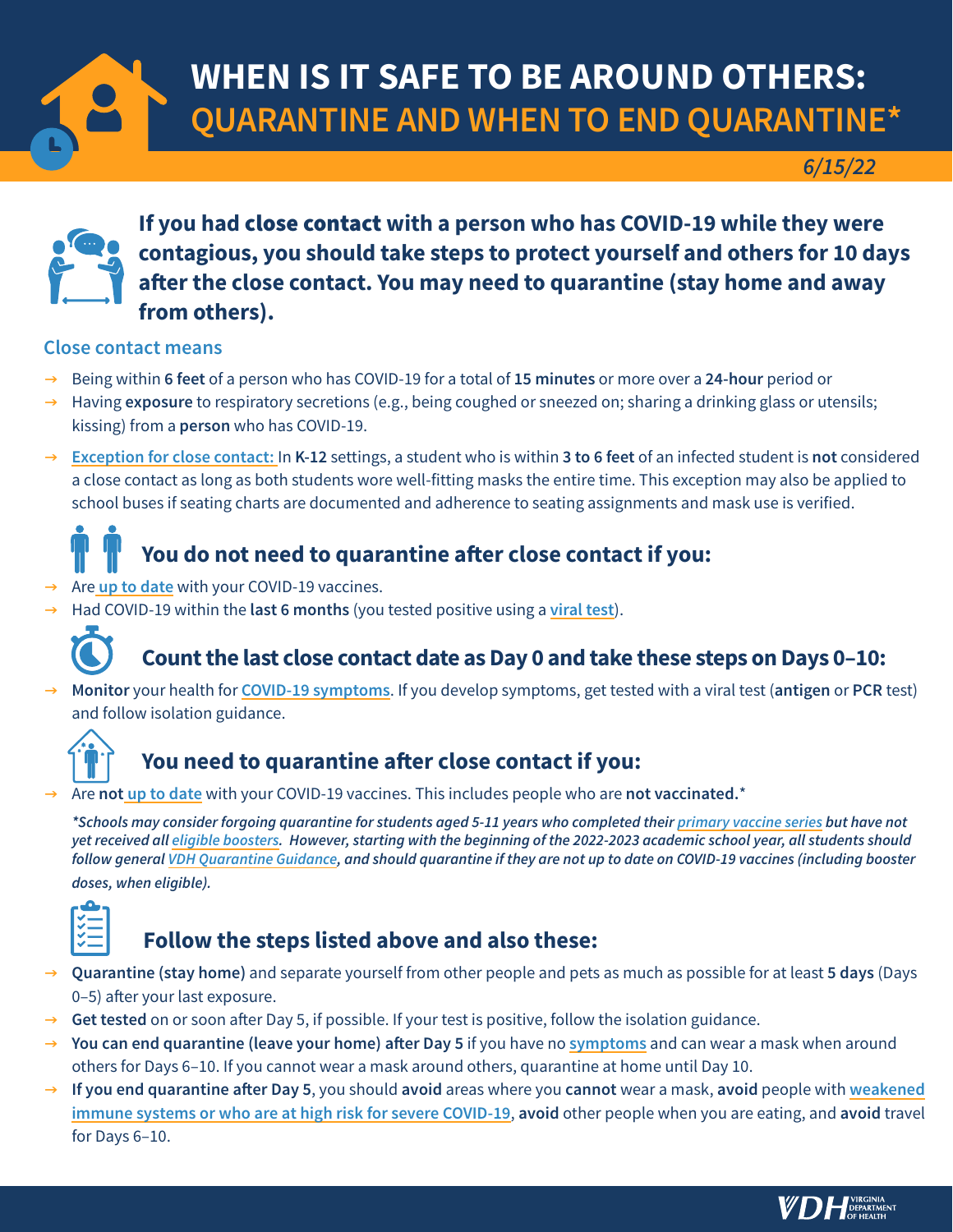

# **WHEN IS IT SAFE TO BE AROUND OTHERS: QUARANTINE AND WHEN TO END QUARANTINE\***

*6/15/22*

### **If you had** close contact **with a person who has COVID-19 while they were contagious, you should take steps to protect yourself and others for 10 days after the close contact. You may need to quarantine (stay home and away from others).**

#### **Close contact means**

- → Being within **6 feet** of a person who has COVID-19 for a total of **15 minutes** or more over a **24-hour** period or
- → Having **exposure** to respiratory secretions (e.g., being coughed or sneezed on; sharing a drinking glass or utensils; kissing) from a **person** who has COVID-19.
- → **[Exception for close contact:](https://www.vdh.virginia.gov/coronavirus/protect-yourself/exposure/#close-contact)** In **K-12** settings, a student who is within **3 to 6 feet** of an infected student is **not** considered a close contact as long as both students wore well-fitting masks the entire time. This exception may also be applied to school buses if seating charts are documented and adherence to seating assignments and mask use is verified.

# **You do not need to quarantine after close contact if you:**

- Are **[up to date](https://www.cdc.gov/coronavirus/2019-ncov/vaccines/stay-up-to-date.html)** with your COVID-19 vaccines.
- Had COVID-19 within the **last 6 months** (you tested positive using a **[viral test](https://www.cdc.gov/coronavirus/2019-ncov/symptoms-testing/testing.html)**).



## **Count the last close contact date as Day 0 and take these steps on Days 0–10:**

→ **Monitor** your health for **[COVID-19 symptoms](https://www.cdc.gov/coronavirus/2019-ncov/symptoms-testing/symptoms.html)**. If you develop symptoms, get tested with a viral test (**antigen** or **PCR** test) and follow isolation guidance.



#### **You need to quarantine after close contact if you:**

→ Are **not [up to date](https://www.cdc.gov/coronavirus/2019-ncov/vaccines/stay-up-to-date.html)** with your COVID-19 vaccines. This includes people who are **not vaccinated.**\*

*\*Schools may consider forgoing quarantine for students aged 5-11 years who completed their [primary vaccine series](https://www.cdc.gov/coronavirus/2019-ncov/vaccines/stay-up-to-date.html) but have not yet received all [eligible boosters](https://www.cdc.gov/coronavirus/2019-ncov/vaccines/stay-up-to-date.html). However, starting with the beginning of the 2022-2023 academic school year, all students should follow general [VDH Quarantine Guidance,](https://www.vdh.virginia.gov/coronavirus/protect-yourself/exposure/#steps-to-take) and should quarantine if they are not up to date on COVID-19 vaccines (including booster doses, when eligible).*



#### **Follow the steps listed above and also these:**

- → **Quarantine (stay home)** and separate yourself from other people and pets as much as possible for at least **5 days** (Days 0–5) after your last exposure.
- Get tested on or soon after Day 5, if possible. If your test is positive, follow the isolation guidance.
- → **You can end quarantine (leave your home) after Day 5** if you have no **[symptoms](https://www.cdc.gov/coronavirus/2019-ncov/symptoms-testing/symptoms.html)** and can wear a mask when around others for Days 6–10. If you cannot wear a mask around others, quarantine at home until Day 10.
- → **If you end quarantine after Day 5**, you should **avoid** areas where you **cannot** wear a mask, **avoid** people with **[weakened](https://www.cdc.gov/coronavirus/2019-ncov/need-extra-precautions/people-with-medical-conditions.html)  [immune systems or who are at high risk for severe COVID-19](https://www.cdc.gov/coronavirus/2019-ncov/need-extra-precautions/people-with-medical-conditions.html)**, **avoid** other people when you are eating, and **avoid** travel for Days 6–10.